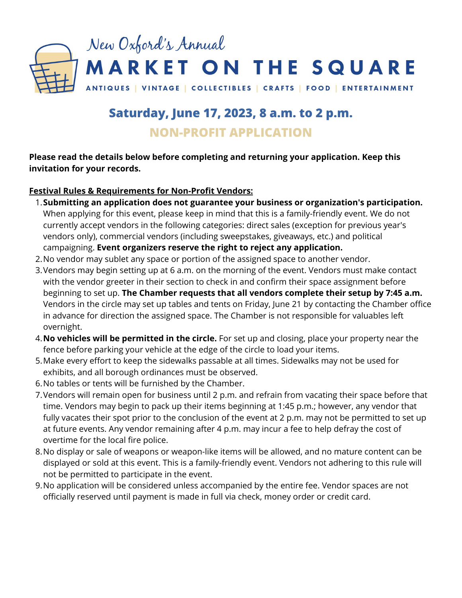

# **Saturday, June 17, 2023, 8 a.m. to 2 p.m. NON-PROFIT APPLICATION**

**Please read the details below before completing and returning your application. Keep this invitation for your records.**

#### **Festival Rules & Requirements for Non-Profit Vendors:**

- **Submitting an application does not guarantee your business or organization's participation.** 1. When applying for this event, please keep in mind that this is a family-friendly event. We do not currently accept vendors in the following categories: direct sales (exception for previous year's vendors only), commercial vendors (including sweepstakes, giveaways, etc.) and political campaigning. **Event organizers reserve the right to reject any application.**
- 2. No vendor may sublet any space or portion of the assigned space to another vendor.
- 3.Vendors may begin setting up at 6 a.m. on the morning of the event. Vendors must make contact with the vendor greeter in their section to check in and confirm their space assignment before beginning to set up. **The Chamber requests that all vendors complete their setup by 7:45 a.m.** Vendors in the circle may set up tables and tents on Friday, June 21 by contacting the Chamber office in advance for direction the assigned space. The Chamber is not responsible for valuables left overnight.
- **No vehicles will be permitted in the circle.** For set up and closing, place your property near the 4. fence before parking your vehicle at the edge of the circle to load your items.
- Make every effort to keep the sidewalks passable at all times. Sidewalks may not be used for 5. exhibits, and all borough ordinances must be observed.
- No tables or tents will be furnished by the Chamber. 6.
- Vendors will remain open for business until 2 p.m. and refrain from vacating their space before that 7. time. Vendors may begin to pack up their items beginning at 1:45 p.m.; however, any vendor that fully vacates their spot prior to the conclusion of the event at 2 p.m. may not be permitted to set up at future events. Any vendor remaining after 4 p.m. may incur a fee to help defray the cost of overtime for the local fire police.
- 8. No display or sale of weapons or weapon-like items will be allowed, and no mature content can be displayed or sold at this event. This is a family-friendly event. Vendors not adhering to this rule will not be permitted to participate in the event.
- 9. No application will be considered unless accompanied by the entire fee. Vendor spaces are not officially reserved until payment is made in full via check, money order or credit card.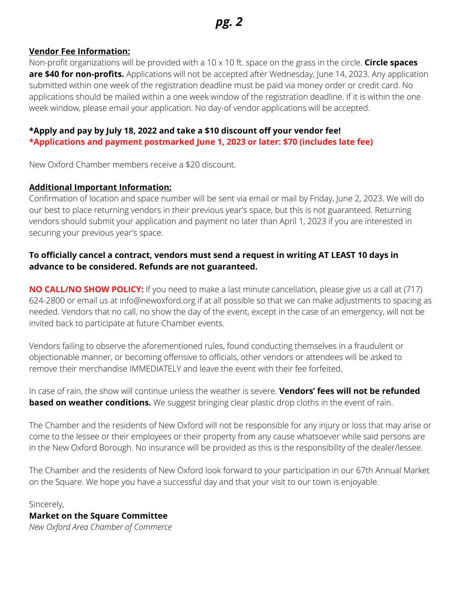#### **Vendor Fee Information:**

Non-profit organizations will be provided with a 10 x 10 ft. space on the grass in the circle. **Circle spaces are \$40 for non-profits.** Applications will not be accepted after Wednesday, June 14, 2023. Any application submitted within one week of the registration deadline must be paid via money order or credit card. No applications should be mailed within a one week window of the registration deadline. If it is within the one week window, please email your application. No day-of vendor applications will be accepted.

### **\*Apply and pay by July 18, 2022 and take a \$10 discount off your vendor fee!**

**\*Applications and payment postmarked June 1, 2023 or later: \$70 (includes late fee)**

New Oxford Chamber members receive a \$20 discount.

#### **Additional Important Information:**

Confirmation of location and space number will be sent via email or mail by Friday, June 2, 2023. We will do our best to place returning vendors in their previous year's space, but this is not guaranteed. Returning vendors should submit your application and payment no later than April 1, 2023 if you are interested in securing your previous year's space.

### **To officially cancel a contract, vendors must send a request in writing AT LEAST 10 days in advance to be considered. Refunds are not guaranteed.**

**NO CALL/NO SHOW POLICY:** If you need to make a last minute cancellation, please give us a call at (717) 624-2800 or email us at info@newoxford.org if at all possible so that we can make adjustments to spacing as needed. Vendors that no call, no show the day of the event, except in the case of an emergency, will not be invited back to participate at future Chamber events.

Vendors failing to observe the aforementioned rules, found conducting themselves in a fraudulent or objectionable manner, or becoming offensive to officials, other vendors or attendees will be asked to remove their merchandise IMMEDIATELY and leave the event with their fee forfeited.

In case of rain, the show will continue unless the weather is severe. **Vendors' fees will not be refunded based on weather conditions.** We suggest bringing clear plastic drop cloths in the event of rain.

The Chamber and the residents of New Oxford will not be responsible for any injury or loss that may arise or come to the lessee or their employees or their property from any cause whatsoever while said persons are in the New Oxford Borough. No insurance will be provided as this is the responsibility of the dealer/lessee.

The Chamber and the residents of New Oxford look forward to your participation in our 67th Annual Market on the Square. We hope you have a successful day and that your visit to our town is enjoyable.

Sincerely,

## **Market on the Square Committee**

*New Oxford Area Chamber of Commerce*